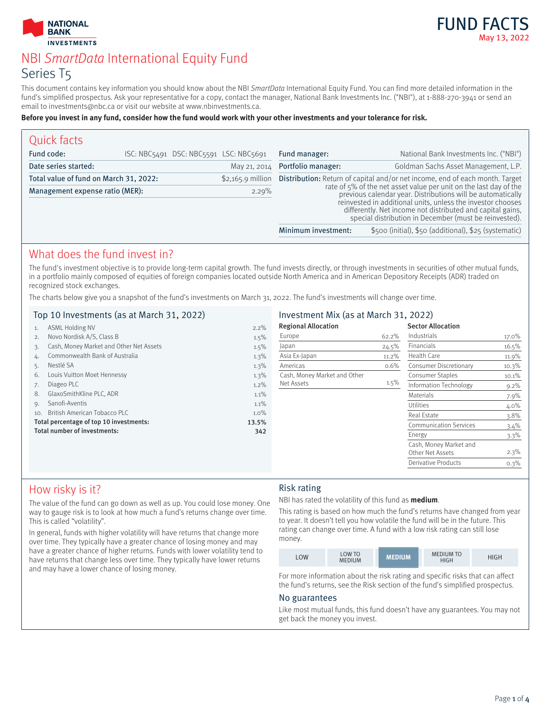

# NBI SmartData International Equity Fund Series T5

This document contains key information you should know about the NBI SmartData International Equity Fund. You can find more detailed information in the fund's simplified prospectus. Ask your representative for a copy, contact the manager, National Bank Investments Inc. ("NBI"), at 1-888-270-3941 or send an email to investments@nbc.ca or visit our website at www.nbinvestments.ca.

#### **Before you invest in any fund, consider how the fund would work with your other investments and your tolerance for risk.**

| Quick facts                            |  |                    |                                                                                                                                                                                                                                                                                                                                                                                                         |                     |                                                       |
|----------------------------------------|--|--------------------|---------------------------------------------------------------------------------------------------------------------------------------------------------------------------------------------------------------------------------------------------------------------------------------------------------------------------------------------------------------------------------------------------------|---------------------|-------------------------------------------------------|
| Fund code:                             |  |                    | ISC: NBC5491 DSC: NBC5591 LSC: NBC5691                                                                                                                                                                                                                                                                                                                                                                  | Fund manager:       | National Bank Investments Inc. ("NBI")                |
| Date series started:                   |  |                    | May 21, 2014                                                                                                                                                                                                                                                                                                                                                                                            | Portfolio manager:  | Goldman Sachs Asset Management, L.P.                  |
| Total value of fund on March 31, 2022: |  | $$2,165.9$ million | Distribution: Return of capital and/or net income, end of each month. Target<br>rate of 5% of the net asset value per unit on the last day of the<br>previous calendar year. Distributions will be automatically<br>reinvested in additional units, unless the investor chooses<br>differently. Net income not distributed and capital gains,<br>special distribution in December (must be reinvested). |                     |                                                       |
| Management expense ratio (MER):        |  | 2.29%              |                                                                                                                                                                                                                                                                                                                                                                                                         |                     |                                                       |
|                                        |  |                    |                                                                                                                                                                                                                                                                                                                                                                                                         | Minimum investment: | \$500 (initial), \$50 (additional), \$25 (systematic) |

# What does the fund invest in?

The fund's investment objective is to provide long-term capital growth. The fund invests directly, or through investments in securities of other mutual funds, in a portfolio mainly composed of equities of foreign companies located outside North America and in American Depository Receipts (ADR) traded on recognized stock exchanges.

The charts below give you a snapshot of the fund's investments on March 31, 2022. The fund's investments will change over time.

### Top 10 Investments (as at March 31, 2022)

| 1.  | <b>ASML Holding NV</b>                  | 2.2%  |
|-----|-----------------------------------------|-------|
| 2.  | Novo Nordisk A/S, Class B               | 1.5%  |
| 3.  | Cash, Money Market and Other Net Assets | 1.5%  |
| 4.  | Commonwealth Bank of Australia          | 1.3%  |
| 5.  | Nestlé SA                               | 1.3%  |
| 6.  | Louis Vuitton Moet Hennessy             | 1.3%  |
| 7.  | Diageo PLC                              | 1.2%  |
| 8.  | GlaxoSmithKline PLC, ADR                | 1.1%  |
| 9.  | Sanofi-Aventis                          | 1.1%  |
| 10. | British American Tobacco PLC            | 1.0%  |
|     | Total percentage of top 10 investments: | 13.5% |
|     | Total number of investments:            | 342   |
|     |                                         |       |
|     |                                         |       |

### Investment Mix (as at March 31, 2022)

| <b>Regional Allocation</b>   |       | <b>Sector Allocation</b>                   |         |
|------------------------------|-------|--------------------------------------------|---------|
| Europe                       | 62.2% | Industrials                                | 17.0%   |
| Japan                        | 24.5% | Financials                                 | 16.5%   |
| Asia Ex-Japan                | 11.2% | Health Care                                | 11.9%   |
| Americas                     | 0.6%  | Consumer Discretionary                     | 10.3%   |
| Cash, Money Market and Other |       | <b>Consumer Staples</b>                    | 10.1%   |
| Net Assets                   | 1.5%  | Information Technology                     | $9.2\%$ |
|                              |       | Materials                                  | 7.9%    |
|                              |       | Utilities                                  | $4.0\%$ |
|                              |       | Real Estate                                | 3.8%    |
|                              |       | <b>Communication Services</b>              | 3.4%    |
|                              |       | Energy                                     | $3.3\%$ |
|                              |       | Cash, Money Market and<br>Other Net Assets | 2.3%    |
|                              |       | <b>Derivative Products</b>                 | 0.3%    |

# How risky is it?

The value of the fund can go down as well as up. You could lose money. One way to gauge risk is to look at how much a fund's returns change over time. This is called "volatility".

In general, funds with higher volatility will have returns that change more over time. They typically have a greater chance of losing money and may have a greater chance of higher returns. Funds with lower volatility tend to have returns that change less over time. They typically have lower returns and may have a lower chance of losing money.

## Risk rating

NBI has rated the volatility of this fund as **medium**.

This rating is based on how much the fund's returns have changed from year to year. It doesn't tell you how volatile the fund will be in the future. This rating can change over time. A fund with a low risk rating can still lose money.

| LOW | <b>LOW TO</b><br><b>MEDIUM</b> | <b>MEDIUM</b> | <b>MEDIUM TO</b><br><b>HIGH</b> | HIGH |
|-----|--------------------------------|---------------|---------------------------------|------|
|-----|--------------------------------|---------------|---------------------------------|------|

For more information about the risk rating and specific risks that can affect the fund's returns, see the Risk section of the fund's simplified prospectus.

#### No guarantees

Like most mutual funds, this fund doesn't have any guarantees. You may not get back the money you invest.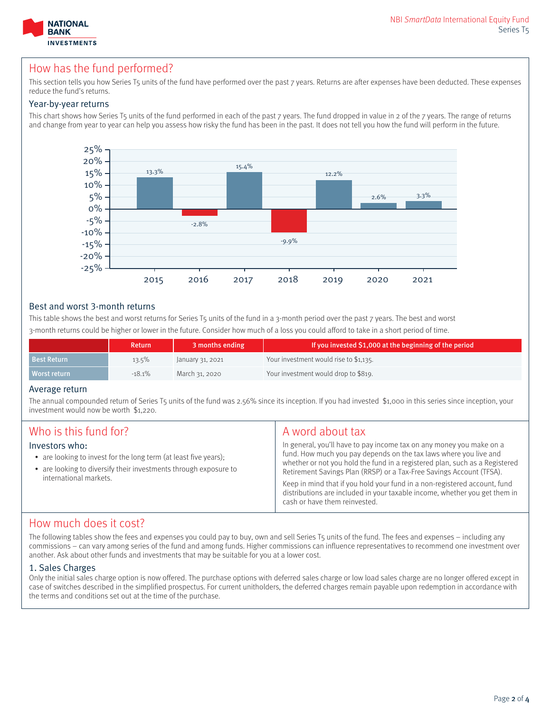

# How has the fund performed?

This section tells you how Series T5 units of the fund have performed over the past 7 years. Returns are after expenses have been deducted. These expenses reduce the fund's returns.

### Year-by-year returns

This chart shows how Series T5 units of the fund performed in each of the past 7 years. The fund dropped in value in 2 of the 7 years. The range of returns and change from year to year can help you assess how risky the fund has been in the past. It does not tell you how the fund will perform in the future.



### Best and worst 3-month returns

This table shows the best and worst returns for Series T5 units of the fund in a 3-month period over the past 7 years. The best and worst 3-month returns could be higher or lower in the future. Consider how much of a loss you could afford to take in a short period of time.

|                    | <b>Return</b> | 3 months ending  | If you invested \$1,000 at the beginning of the period |
|--------------------|---------------|------------------|--------------------------------------------------------|
| <b>Best Return</b> | $13.5\%$      | January 31, 2021 | Your investment would rise to \$1,135.                 |
| Worst return       | $-18.1%$      | March 31, 2020   | Your investment would drop to \$819.                   |

#### Average return

The annual compounded return of Series T5 units of the fund was 2.56% since its inception. If you had invested \$1,000 in this series since inception, your investment would now be worth \$1,220.

| Who is this fund for?<br>A word about tax<br>Investors who:<br>• are looking to invest for the long term (at least five years);<br>• are looking to diversify their investments through exposure to<br>international markets. | In general, you'll have to pay income tax on any money you make on a<br>fund. How much you pay depends on the tax laws where you live and<br>whether or not you hold the fund in a registered plan, such as a Registered<br>Retirement Savings Plan (RRSP) or a Tax-Free Savings Account (TFSA).<br>Keep in mind that if you hold your fund in a non-registered account, fund<br>distributions are included in your taxable income, whether you get them in<br>cash or have them reinvested. |
|-------------------------------------------------------------------------------------------------------------------------------------------------------------------------------------------------------------------------------|----------------------------------------------------------------------------------------------------------------------------------------------------------------------------------------------------------------------------------------------------------------------------------------------------------------------------------------------------------------------------------------------------------------------------------------------------------------------------------------------|
|-------------------------------------------------------------------------------------------------------------------------------------------------------------------------------------------------------------------------------|----------------------------------------------------------------------------------------------------------------------------------------------------------------------------------------------------------------------------------------------------------------------------------------------------------------------------------------------------------------------------------------------------------------------------------------------------------------------------------------------|

## How much does it cost?

The following tables show the fees and expenses you could pay to buy, own and sell Series T5 units of the fund. The fees and expenses – including any commissions – can vary among series of the fund and among funds. Higher commissions can influence representatives to recommend one investment over another. Ask about other funds and investments that may be suitable for you at a lower cost.

### 1. Sales Charges

Only the initial sales charge option is now offered. The purchase options with deferred sales charge or low load sales charge are no longer offered except in case of switches described in the simplified prospectus. For current unitholders, the deferred charges remain payable upon redemption in accordance with the terms and conditions set out at the time of the purchase.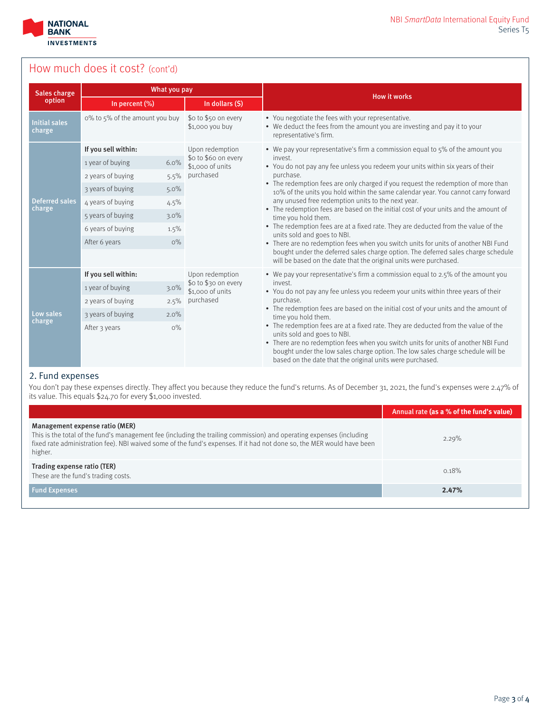

# How much does it cost? (cont'd)

| What you pay<br>Sales charge    |                                |         | <b>How it works</b>                      |                                                                                                                                                                                                                                                                                                                                                         |  |  |
|---------------------------------|--------------------------------|---------|------------------------------------------|---------------------------------------------------------------------------------------------------------------------------------------------------------------------------------------------------------------------------------------------------------------------------------------------------------------------------------------------------------|--|--|
| option                          | In percent (%)                 |         | In dollars (\$)                          |                                                                                                                                                                                                                                                                                                                                                         |  |  |
| <b>Initial sales</b><br>charge  | o% to 5% of the amount you buy |         | \$0 to \$50 on every<br>\$1,000 you buy  | • You negotiate the fees with your representative.<br>• We deduct the fees from the amount you are investing and pay it to your<br>representative's firm.                                                                                                                                                                                               |  |  |
|                                 | If you sell within:            |         | Upon redemption                          | • We pay your representative's firm a commission equal to $5\%$ of the amount you                                                                                                                                                                                                                                                                       |  |  |
|                                 | 1 year of buying               | 6.0%    | \$0 to \$60 on every<br>\$1,000 of units | invest.<br>• You do not pay any fee unless you redeem your units within six years of their                                                                                                                                                                                                                                                              |  |  |
|                                 | 2 years of buying              | 5.5%    | purchased                                | purchase.                                                                                                                                                                                                                                                                                                                                               |  |  |
|                                 | 3 years of buying              | $5.0\%$ |                                          | • The redemption fees are only charged if you request the redemption of more than<br>10% of the units you hold within the same calendar year. You cannot carry forward                                                                                                                                                                                  |  |  |
| <b>Deferred sales</b><br>charge | 4 years of buying              | 4.5%    |                                          | any unused free redemption units to the next year.<br>• The redemption fees are based on the initial cost of your units and the amount of                                                                                                                                                                                                               |  |  |
|                                 | 5 years of buying              | $3.0\%$ | time you hold them.                      |                                                                                                                                                                                                                                                                                                                                                         |  |  |
|                                 | 6 years of buying              | 1.5%    |                                          | • The redemption fees are at a fixed rate. They are deducted from the value of the<br>units sold and goes to NBI.                                                                                                                                                                                                                                       |  |  |
|                                 | After 6 years                  | O%      |                                          | • There are no redemption fees when you switch units for units of another NBI Fund                                                                                                                                                                                                                                                                      |  |  |
|                                 |                                |         |                                          | bought under the deferred sales charge option. The deferred sales charge schedule<br>will be based on the date that the original units were purchased.                                                                                                                                                                                                  |  |  |
|                                 | If you sell within:            |         | Upon redemption                          | • We pay your representative's firm a commission equal to 2.5% of the amount you                                                                                                                                                                                                                                                                        |  |  |
|                                 | 1 year of buying               | 3.0%    | \$o to \$30 on every<br>\$1,000 of units | invest.<br>• You do not pay any fee unless you redeem your units within three years of their                                                                                                                                                                                                                                                            |  |  |
|                                 | 2 years of buying              | 2.5%    | purchased                                | purchase.                                                                                                                                                                                                                                                                                                                                               |  |  |
| Low sales<br>charge             | 3 years of buying              | 2.0%    |                                          | • The redemption fees are based on the initial cost of your units and the amount of<br>time you hold them.                                                                                                                                                                                                                                              |  |  |
|                                 | After 3 years                  | $O\%$   |                                          | • The redemption fees are at a fixed rate. They are deducted from the value of the<br>units sold and goes to NBI.<br>• There are no redemption fees when you switch units for units of another NBI Fund<br>bought under the low sales charge option. The low sales charge schedule will be<br>based on the date that the original units were purchased. |  |  |

### 2. Fund expenses

You don't pay these expenses directly. They affect you because they reduce the fund's returns. As of December 31, 2021, the fund's expenses were 2.47% of its value. This equals \$24.70 for every \$1,000 invested.

|                                                                                                                                                                                                                                                                                             | Annual rate (as a % of the fund's value) |
|---------------------------------------------------------------------------------------------------------------------------------------------------------------------------------------------------------------------------------------------------------------------------------------------|------------------------------------------|
| Management expense ratio (MER)<br>This is the total of the fund's management fee (including the trailing commission) and operating expenses (including<br>fixed rate administration fee). NBI waived some of the fund's expenses. If it had not done so, the MER would have been<br>higher. | 2.29%                                    |
| Trading expense ratio (TER)<br>These are the fund's trading costs.                                                                                                                                                                                                                          | 0.18%                                    |
| <b>Fund Expenses</b>                                                                                                                                                                                                                                                                        | 2.47%                                    |